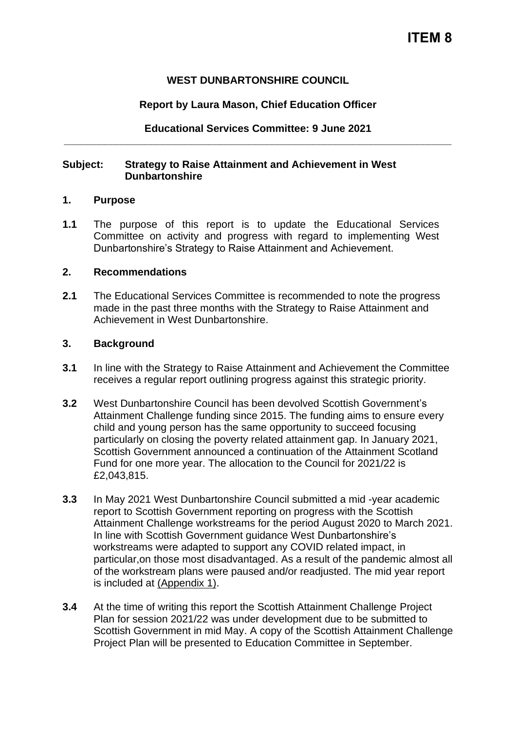## **WEST DUNBARTONSHIRE COUNCIL**

### **Report by Laura Mason, Chief Education Officer**

## **Educational Services Committee: 9 June 2021 \_\_\_\_\_\_\_\_\_\_\_\_\_\_\_\_\_\_\_\_\_\_\_\_\_\_\_\_\_\_\_\_\_\_\_\_\_\_\_\_\_\_\_\_\_\_\_\_\_\_\_\_\_\_\_\_\_\_\_\_\_\_\_\_\_\_\_**

### **Subject: Strategy to Raise Attainment and Achievement in West Dunbartonshire**

#### **1. Purpose**

**1.1** The purpose of this report is to update the Educational Services Committee on activity and progress with regard to implementing West Dunbartonshire's Strategy to Raise Attainment and Achievement.

#### **2. Recommendations**

**2.1** The Educational Services Committee is recommended to note the progress made in the past three months with the Strategy to Raise Attainment and Achievement in West Dunbartonshire.

#### **3. Background**

- **3.1** In line with the Strategy to Raise Attainment and Achievement the Committee receives a regular report outlining progress against this strategic priority.
- **3.2** West Dunbartonshire Council has been devolved Scottish Government's Attainment Challenge funding since 2015. The funding aims to ensure every child and young person has the same opportunity to succeed focusing particularly on closing the poverty related attainment gap. In January 2021, Scottish Government announced a continuation of the Attainment Scotland Fund for one more year. The allocation to the Council for 2021/22 is £2,043,815.
- **3.3** In May 2021 West Dunbartonshire Council submitted a mid -year academic report to Scottish Government reporting on progress with the Scottish Attainment Challenge workstreams for the period August 2020 to March 2021. In line with Scottish Government guidance West Dunbartonshire's workstreams were adapted to support any COVID related impact, in particular,on those most disadvantaged. As a result of the pandemic almost all of the workstream plans were paused and/or readjusted. The mid year report is included at (Appendix 1).
- **3.4** At the time of writing this report the Scottish Attainment Challenge Project Plan for session 2021/22 was under development due to be submitted to Scottish Government in mid May. A copy of the Scottish Attainment Challenge Project Plan will be presented to Education Committee in September.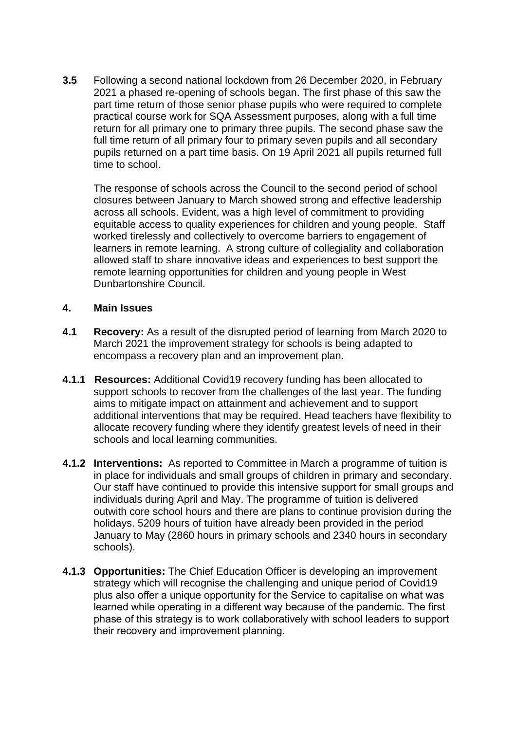**3.5** Following a second national lockdown from 26 December 2020, in February 2021 a phased re-opening of schools began. The first phase of this saw the part time return of those senior phase pupils who were required to complete practical course work for SQA Assessment purposes, along with a full time return for all primary one to primary three pupils. The second phase saw the full time return of all primary four to primary seven pupils and all secondary pupils returned on a part time basis. On 19 April 2021 all pupils returned full time to school.

The response of schools across the Council to the second period of school closures between January to March showed strong and effective leadership across all schools. Evident, was a high level of commitment to providing equitable access to quality experiences for children and young people. Staff worked tirelessly and collectively to overcome barriers to engagement of learners in remote learning. A strong culture of collegiality and collaboration allowed staff to share innovative ideas and experiences to best support the remote learning opportunities for children and young people in West Dunbartonshire Council.

#### **4. Main Issues**

- **4.1 Recovery:** As a result of the disrupted period of learning from March 2020 to March 2021 the improvement strategy for schools is being adapted to encompass a recovery plan and an improvement plan.
- **4.1.1 Resources:** Additional Covid19 recovery funding has been allocated to support schools to recover from the challenges of the last year. The funding aims to mitigate impact on attainment and achievement and to support additional interventions that may be required. Head teachers have flexibility to allocate recovery funding where they identify greatest levels of need in their schools and local learning communities.
- **4.1.2 Interventions:** As reported to Committee in March a programme of tuition is in place for individuals and small groups of children in primary and secondary. Our staff have continued to provide this intensive support for small groups and individuals during April and May. The programme of tuition is delivered outwith core school hours and there are plans to continue provision during the holidays. 5209 hours of tuition have already been provided in the period January to May (2860 hours in primary schools and 2340 hours in secondary schools).
- **4.1.3 Opportunities:** The Chief Education Officer is developing an improvement strategy which will recognise the challenging and unique period of Covid19 plus also offer a unique opportunity for the Service to capitalise on what was learned while operating in a different way because of the pandemic. The first phase of this strategy is to work collaboratively with school leaders to support their recovery and improvement planning.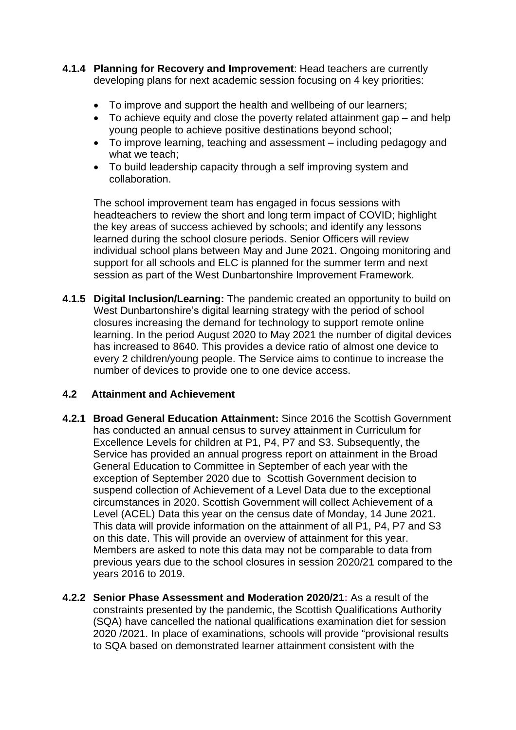- **4.1.4 Planning for Recovery and Improvement**: Head teachers are currently developing plans for next academic session focusing on 4 key priorities:
	- To improve and support the health and wellbeing of our learners;
	- To achieve equity and close the poverty related attainment gap and help young people to achieve positive destinations beyond school;
	- To improve learning, teaching and assessment including pedagogy and what we teach;
	- To build leadership capacity through a self improving system and collaboration.

The school improvement team has engaged in focus sessions with headteachers to review the short and long term impact of COVID; highlight the key areas of success achieved by schools; and identify any lessons learned during the school closure periods. Senior Officers will review individual school plans between May and June 2021. Ongoing monitoring and support for all schools and ELC is planned for the summer term and next session as part of the West Dunbartonshire Improvement Framework.

**4.1.5 Digital Inclusion/Learning:** The pandemic created an opportunity to build on West Dunbartonshire's digital learning strategy with the period of school closures increasing the demand for technology to support remote online learning. In the period August 2020 to May 2021 the number of digital devices has increased to 8640. This provides a device ratio of almost one device to every 2 children/young people. The Service aims to continue to increase the number of devices to provide one to one device access.

# **4.2 Attainment and Achievement**

- **4.2.1 Broad General Education Attainment:** Since 2016 the Scottish Government has conducted an annual census to survey attainment in Curriculum for Excellence Levels for children at P1, P4, P7 and S3. Subsequently, the Service has provided an annual progress report on attainment in the Broad General Education to Committee in September of each year with the exception of September 2020 due to Scottish Government decision to suspend collection of Achievement of a Level Data due to the exceptional circumstances in 2020. Scottish Government will collect Achievement of a Level (ACEL) Data this year on the census date of Monday, 14 June 2021. This data will provide information on the attainment of all P1, P4, P7 and S3 on this date. This will provide an overview of attainment for this year. Members are asked to note this data may not be comparable to data from previous years due to the school closures in session 2020/21 compared to the years 2016 to 2019.
- **4.2.2 Senior Phase Assessment and Moderation 2020/21:** As a result of the constraints presented by the pandemic, the Scottish Qualifications Authority (SQA) have cancelled the national qualifications examination diet for session 2020 /2021. In place of examinations, schools will provide "provisional results to SQA based on demonstrated learner attainment consistent with the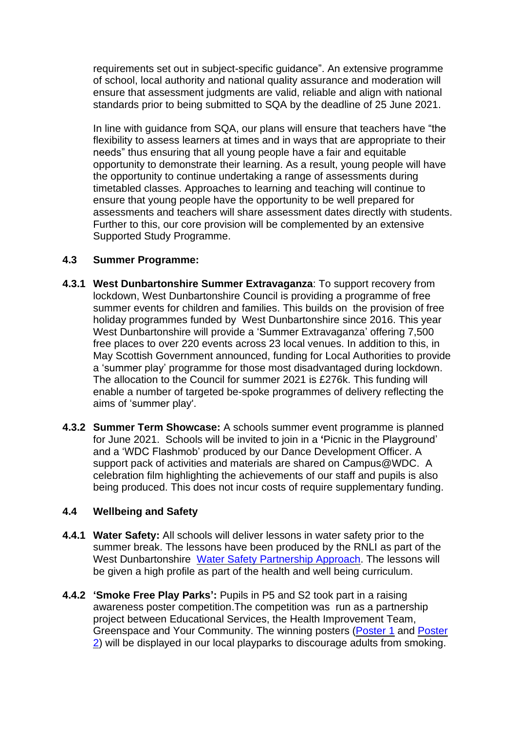requirements set out in subject-specific guidance". An extensive programme of school, local authority and national quality assurance and moderation will ensure that assessment judgments are valid, reliable and align with national standards prior to being submitted to SQA by the deadline of 25 June 2021.

In line with guidance from SQA, our plans will ensure that teachers have "the flexibility to assess learners at times and in ways that are appropriate to their needs" thus ensuring that all young people have a fair and equitable opportunity to demonstrate their learning. As a result, young people will have the opportunity to continue undertaking a range of assessments during timetabled classes. Approaches to learning and teaching will continue to ensure that young people have the opportunity to be well prepared for assessments and teachers will share assessment dates directly with students. Further to this, our core provision will be complemented by an extensive Supported Study Programme.

### **4.3 Summer Programme:**

- **4.3.1 West Dunbartonshire Summer Extravaganza**: To support recovery from lockdown, West Dunbartonshire Council is providing a programme of free summer events for children and families. This builds on the provision of free holiday programmes funded by West Dunbartonshire since 2016. This year West Dunbartonshire will provide a 'Summer Extravaganza' offering 7,500 free places to over 220 events across 23 local venues. In addition to this, in May Scottish Government announced, funding for Local Authorities to provide a 'summer play' programme for those most disadvantaged during lockdown. The allocation to the Council for summer 2021 is £276k. This funding will enable a number of targeted be-spoke programmes of delivery reflecting the aims of 'summer play'.
- **4.3.2 Summer Term Showcase:** A schools summer event programme is planned for June 2021. Schools will be invited to join in a **'**Picnic in the Playground' and a 'WDC Flashmob' produced by our Dance Development Officer. A support pack of activities and materials are shared on Campus@WDC. A celebration film highlighting the achievements of our staff and pupils is also being produced. This does not incur costs of require supplementary funding.

## **4.4 Wellbeing and Safety**

- **4.4.1 Water Safety:** All schools will deliver lessons in water safety prior to the summer break. The lessons have been produced by the RNLI as part of the West Dunbartonshire Water Safety [Partnership](https://drive.google.com/file/d/1JanYdAwURYnM0iF-62m7t-e1nGKDZ7FO/view?usp=sharing) Approach. The lessons will be given a high profile as part of the health and well being curriculum.
- **4.4.2 'Smoke Free Play Parks':** Pupils in P5 and S2 took part in a raising awareness poster competition.The competition was run as a partnership project between Educational Services, the Health Improvement Team, Greenspace and Your Community. The winning posters [\(Poster](https://drive.google.com/file/d/1JS3oWMjUbAzxdl3CWaPXGs8jI6P4hOQs/view?usp=sharing) 1 and [Poster](https://drive.google.com/file/d/17zGaRRqERlixO7TZS-eHtpS1b4Gmniwa/view?usp=sharing) [2\)](https://drive.google.com/file/d/17zGaRRqERlixO7TZS-eHtpS1b4Gmniwa/view?usp=sharing) will be displayed in our local playparks to discourage adults from smoking.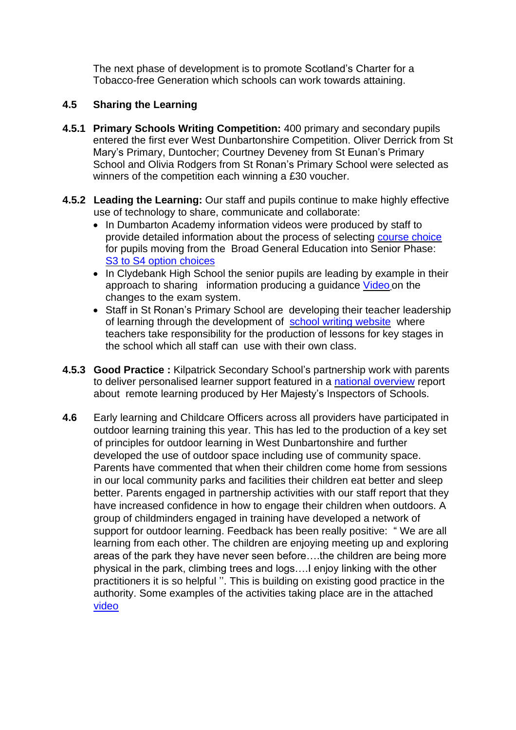The next phase of development is to promote Scotland's Charter for a Tobacco-free Generation which schools can work towards attaining.

# **4.5 Sharing the Learning**

- **4.5.1 Primary Schools Writing Competition:** 400 primary and secondary pupils entered the first ever West Dunbartonshire Competition. Oliver Derrick from St Mary's Primary, Duntocher; Courtney Deveney from St Eunan's Primary School and Olivia Rodgers from St Ronan's Primary School were selected as winners of the competition each winning a £30 voucher.
- **4.5.2 Leading the Learning:** Our staff and pupils continue to make highly effective use of technology to share, communicate and collaborate:
	- In Dumbarton Academy information videos were produced by staff to provide detailed information about the process of selecting [course](http://www.dumbarton-academy.com/2021/02/course-choice-videos/) choice for pupils moving from the Broad General Education into Senior Phase: S3 to S4 option [choices](http://www.dumbarton-academy.com/2021/02/s3-in-to-s4-option-choice/)
	- In Clydebank High School the senior pupils are leading by example in their approach to sharing information producing a guidance [Video](https://youtu.be/AgxZq_wZ8bg) on the changes to the exam system.
	- Staff in St Ronan's Primary School are developing their teacher leadership of learning through the development of school writing [website](https://sites.google.com/ourcloud.buzz/st-ronans-writing/home) where teachers take responsibility for the production of lessons for key stages in the school which all staff can use with their own class.
- **4.5.3 Good Practice :** Kilpatrick Secondary School's partnership work with parents to deliver personalised learner support featured in a national [overview](https://drive.google.com/file/d/15HphBvaiKw39LHGOc_Gprr5QWoBYpuVc/view?ts=608a6e2b) report about remote learning produced by Her Majesty's Inspectors of Schools.
- **4.6** Early learning and Childcare Officers across all providers have participated in outdoor learning training this year. This has led to the production of a key set of principles for outdoor learning in West Dunbartonshire and further developed the use of outdoor space including use of community space. Parents have commented that when their children come home from sessions in our local community parks and facilities their children eat better and sleep better. Parents engaged in partnership activities with our staff report that they have increased confidence in how to engage their children when outdoors. A group of childminders engaged in training have developed a network of support for outdoor learning. Feedback has been really positive: " We are all learning from each other. The children are enjoying meeting up and exploring areas of the park they have never seen before….the children are being more physical in the park, climbing trees and logs….I enjoy linking with the other practitioners it is so helpful ''. This is building on existing good practice in the authority. Some examples of the activities taking place are in the attached [video](https://drive.google.com/file/d/1Ddz6aPdhcObHLBAHt1J6gk6iuncRAYbb/view?usp=sharing)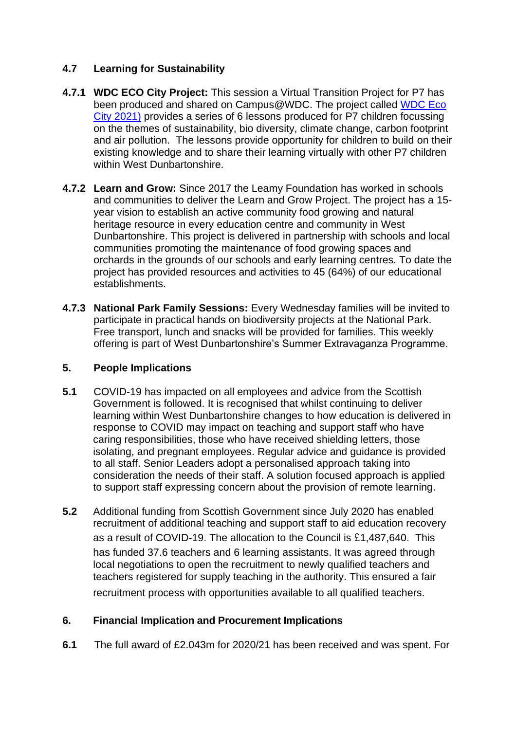# **4.7 Learning for Sustainability**

- **4.7.1 WDC ECO City Project:** This session a Virtual Transition Project for P7 has been produced and shared on Campus@WDC. The project called [WDC Eco](https://sites.google.com/ourcloud.buzz/ecocity2021/welcome)  [City 2021\)](https://sites.google.com/ourcloud.buzz/ecocity2021/welcome) provides a series of 6 lessons produced for P7 children focussing on the themes of sustainability, bio diversity, climate change, carbon footprint and air pollution. The lessons provide opportunity for children to build on their existing knowledge and to share their learning virtually with other P7 children within West Dunbartonshire.
- **4.7.2 Learn and Grow:** Since 2017 the Leamy Foundation has worked in schools and communities to deliver the Learn and Grow Project. The project has a 15 year vision to establish an active community food growing and natural heritage resource in every education centre and community in West Dunbartonshire. This project is delivered in partnership with schools and local communities promoting the maintenance of food growing spaces and orchards in the grounds of our schools and early learning centres. To date the project has provided resources and activities to 45 (64%) of our educational establishments.
- **4.7.3 National Park Family Sessions:** Every Wednesday families will be invited to participate in practical hands on biodiversity projects at the National Park. Free transport, lunch and snacks will be provided for families. This weekly offering is part of West Dunbartonshire's Summer Extravaganza Programme.

# **5. People Implications**

- **5.1** COVID-19 has impacted on all employees and advice from the Scottish Government is followed. It is recognised that whilst continuing to deliver learning within West Dunbartonshire changes to how education is delivered in response to COVID may impact on teaching and support staff who have caring responsibilities, those who have received shielding letters, those isolating, and pregnant employees. Regular advice and guidance is provided to all staff. Senior Leaders adopt a personalised approach taking into consideration the needs of their staff. A solution focused approach is applied to support staff expressing concern about the provision of remote learning.
- **5.2** Additional funding from Scottish Government since July 2020 has enabled recruitment of additional teaching and support staff to aid education recovery as a result of COVID-19. The allocation to the Council is £1,487,640. This has funded 37.6 teachers and 6 learning assistants. It was agreed through local negotiations to open the recruitment to newly qualified teachers and teachers registered for supply teaching in the authority. This ensured a fair recruitment process with opportunities available to all qualified teachers.

# **6. Financial Implication and Procurement Implications**

**6.1** The full award of £2.043m for 2020/21 has been received and was spent. For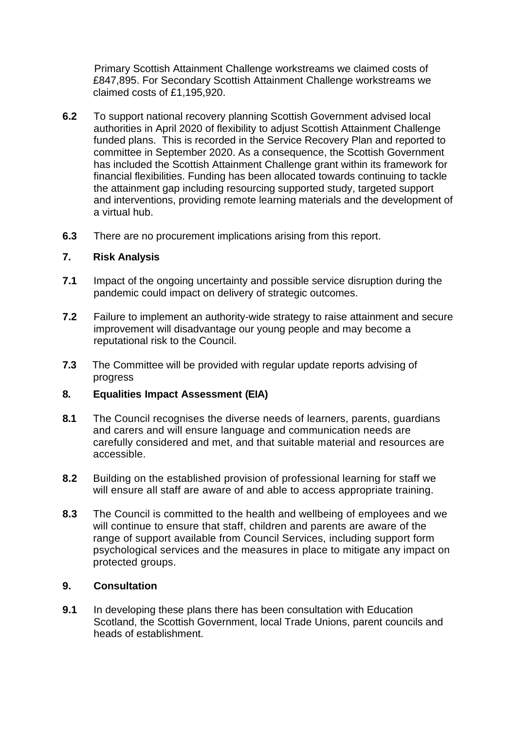Primary Scottish Attainment Challenge workstreams we claimed costs of £847,895. For Secondary Scottish Attainment Challenge workstreams we claimed costs of £1,195,920.

- **6.2** To support national recovery planning Scottish Government advised local authorities in April 2020 of flexibility to adjust Scottish Attainment Challenge funded plans. This is recorded in the Service Recovery Plan and reported to committee in September 2020. As a consequence, the Scottish Government has included the Scottish Attainment Challenge grant within its framework for financial flexibilities. Funding has been allocated towards continuing to tackle the attainment gap including resourcing supported study, targeted support and interventions, providing remote learning materials and the development of a virtual hub.
- **6.3** There are no procurement implications arising from this report.

### **7. Risk Analysis**

- **7.1** Impact of the ongoing uncertainty and possible service disruption during the pandemic could impact on delivery of strategic outcomes.
- **7.2** Failure to implement an authority-wide strategy to raise attainment and secure improvement will disadvantage our young people and may become a reputational risk to the Council.
- **7.3** The Committee will be provided with regular update reports advising of progress

### **8. Equalities Impact Assessment (EIA)**

- **8.1** The Council recognises the diverse needs of learners, parents, guardians and carers and will ensure language and communication needs are carefully considered and met, and that suitable material and resources are accessible.
- **8.2** Building on the established provision of professional learning for staff we will ensure all staff are aware of and able to access appropriate training.
- **8.3** The Council is committed to the health and wellbeing of employees and we will continue to ensure that staff, children and parents are aware of the range of support available from Council Services, including support form psychological services and the measures in place to mitigate any impact on protected groups.

## **9. Consultation**

**9.1** In developing these plans there has been consultation with Education Scotland, the Scottish Government, local Trade Unions, parent councils and heads of establishment.